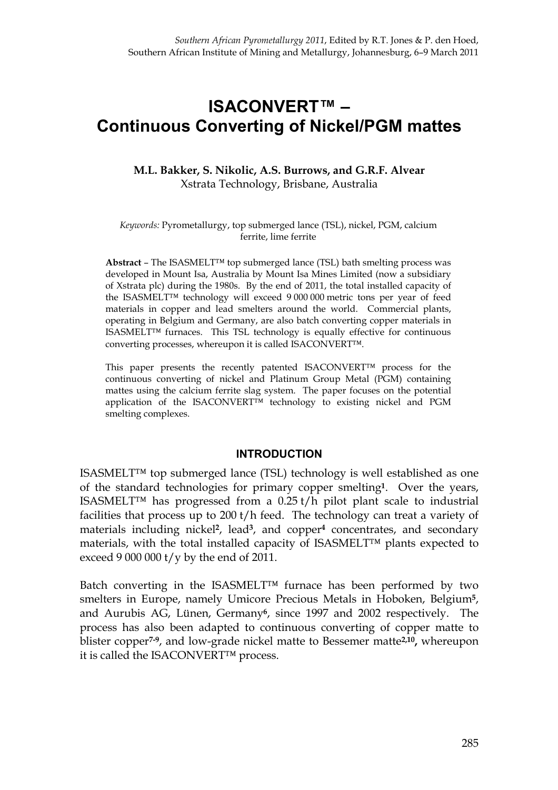# **ISACONVERT™ – Continuous Converting of Nickel/PGM mattes**

### **M.L. Bakker, S. Nikolic, A.S. Burrows, and G.R.F. Alvear**  Xstrata Technology, Brisbane, Australia

#### *Keywords:* Pyrometallurgy, top submerged lance (TSL), nickel, PGM, calcium ferrite, lime ferrite

**Abstract** – The ISASMELT™ top submerged lance (TSL) bath smelting process was developed in Mount Isa, Australia by Mount Isa Mines Limited (now a subsidiary of Xstrata plc) during the 1980s. By the end of 2011, the total installed capacity of the ISASMELT™ technology will exceed 9 000 000 metric tons per year of feed materials in copper and lead smelters around the world. Commercial plants, operating in Belgium and Germany, are also batch converting copper materials in ISASMELT™ furnaces. This TSL technology is equally effective for continuous converting processes, whereupon it is called ISACONVERT™.

This paper presents the recently patented ISACONVERT™ process for the continuous converting of nickel and Platinum Group Metal (PGM) containing mattes using the calcium ferrite slag system. The paper focuses on the potential application of the ISACONVERT™ technology to existing nickel and PGM smelting complexes.

#### **INTRODUCTION**

ISASMELT™ top submerged lance (TSL) technology is well established as one of the standard technologies for primary copper smelting**1**. Over the years, ISASMELT<sup>™</sup> has progressed from a  $0.25 t/h$  pilot plant scale to industrial facilities that process up to 200 t/h feed. The technology can treat a variety of materials including nickel**2**, lead**3**, and copper**<sup>4</sup>** concentrates, and secondary materials, with the total installed capacity of ISASMELT™ plants expected to exceed 9 000 000  $t/y$  by the end of 2011.

Batch converting in the ISASMELT™ furnace has been performed by two smelters in Europe, namely Umicore Precious Metals in Hoboken, Belgium**5**, and Aurubis AG, Lünen, Germany**6**, since 1997 and 2002 respectively. The process has also been adapted to continuous converting of copper matte to blister copper**7-9**, and low-grade nickel matte to Bessemer matte**2,10,** whereupon it is called the ISACONVERT™ process.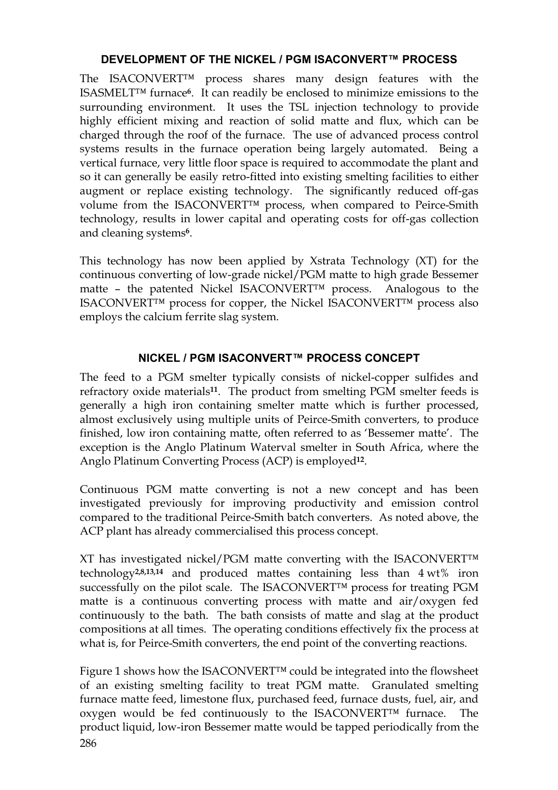## **DEVELOPMENT OF THE NICKEL / PGM ISACONVERT™ PROCESS**

The ISACONVERT™ process shares many design features with the ISASMELT™ furnace**6**. It can readily be enclosed to minimize emissions to the surrounding environment. It uses the TSL injection technology to provide highly efficient mixing and reaction of solid matte and flux, which can be charged through the roof of the furnace. The use of advanced process control systems results in the furnace operation being largely automated. Being a vertical furnace, very little floor space is required to accommodate the plant and so it can generally be easily retro-fitted into existing smelting facilities to either augment or replace existing technology. The significantly reduced off-gas volume from the ISACONVERT™ process, when compared to Peirce-Smith technology, results in lower capital and operating costs for off-gas collection and cleaning systems**6**.

This technology has now been applied by Xstrata Technology (XT) for the continuous converting of low-grade nickel/PGM matte to high grade Bessemer matte – the patented Nickel ISACONVERT™ process. Analogous to the ISACONVERT™ process for copper, the Nickel ISACONVERT™ process also employs the calcium ferrite slag system.

## **NICKEL / PGM ISACONVERT™ PROCESS CONCEPT**

The feed to a PGM smelter typically consists of nickel-copper sulfides and refractory oxide materials**11**. The product from smelting PGM smelter feeds is generally a high iron containing smelter matte which is further processed, almost exclusively using multiple units of Peirce-Smith converters, to produce finished, low iron containing matte, often referred to as 'Bessemer matte'. The exception is the Anglo Platinum Waterval smelter in South Africa, where the Anglo Platinum Converting Process (ACP) is employed**12**.

Continuous PGM matte converting is not a new concept and has been investigated previously for improving productivity and emission control compared to the traditional Peirce-Smith batch converters. As noted above, the ACP plant has already commercialised this process concept.

XT has investigated nickel/PGM matte converting with the ISACONVERT™ technology**2,8,13,14** and produced mattes containing less than 4 wt% iron successfully on the pilot scale. The ISACONVERT™ process for treating PGM matte is a continuous converting process with matte and air/oxygen fed continuously to the bath. The bath consists of matte and slag at the product compositions at all times. The operating conditions effectively fix the process at what is, for Peirce-Smith converters, the end point of the converting reactions.

286 Figure 1 shows how the ISACONVERT™ could be integrated into the flowsheet of an existing smelting facility to treat PGM matte. Granulated smelting furnace matte feed, limestone flux, purchased feed, furnace dusts, fuel, air, and oxygen would be fed continuously to the ISACONVERT™ furnace. The product liquid, low-iron Bessemer matte would be tapped periodically from the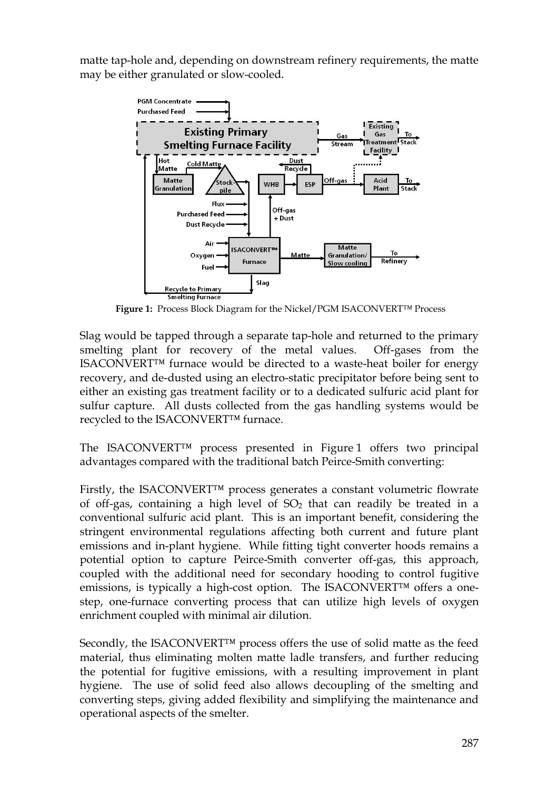matte tap-hole and, depending on downstream refinery requirements, the matte may be either granulated or slow-cooled.



**Figure 1:** Process Block Diagram for the Nickel/PGM ISACONVERT™ Process

Slag would be tapped through a separate tap-hole and returned to the primary smelting plant for recovery of the metal values. Off-gases from the ISACONVERT™ furnace would be directed to a waste-heat boiler for energy recovery, and de-dusted using an electro-static precipitator before being sent to either an existing gas treatment facility or to a dedicated sulfuric acid plant for sulfur capture. All dusts collected from the gas handling systems would be recycled to the ISACONVERT™ furnace.

The ISACONVERT™ process presented in Figure 1 offers two principal advantages compared with the traditional batch Peirce-Smith converting:

Firstly, the ISACONVERT™ process generates a constant volumetric flowrate of off-gas, containing a high level of  $SO<sub>2</sub>$  that can readily be treated in a conventional sulfuric acid plant. This is an important benefit, considering the stringent environmental regulations affecting both current and future plant emissions and in-plant hygiene. While fitting tight converter hoods remains a potential option to capture Peirce-Smith converter off-gas, this approach, coupled with the additional need for secondary hooding to control fugitive emissions, is typically a high-cost option. The ISACONVERT™ offers a onestep, one-furnace converting process that can utilize high levels of oxygen enrichment coupled with minimal air dilution.

Secondly, the ISACONVERT<sup>™</sup> process offers the use of solid matte as the feed material, thus eliminating molten matte ladle transfers, and further reducing the potential for fugitive emissions, with a resulting improvement in plant hygiene. The use of solid feed also allows decoupling of the smelting and converting steps, giving added flexibility and simplifying the maintenance and operational aspects of the smelter.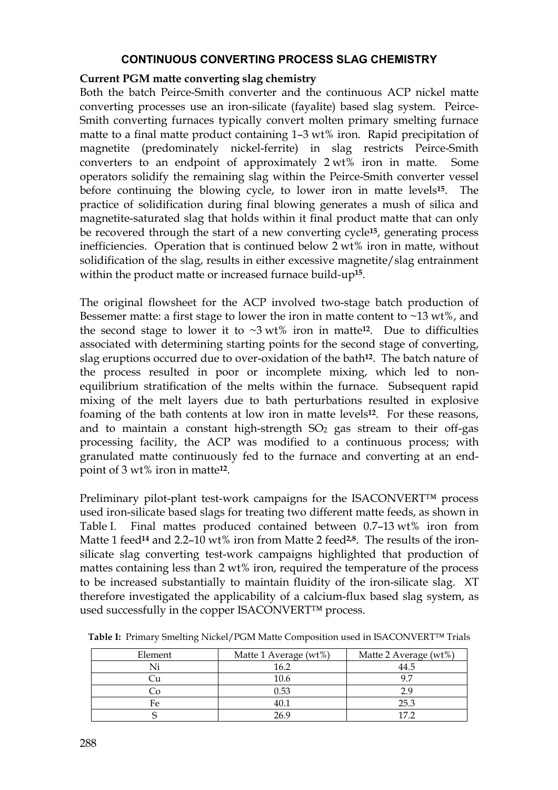### **CONTINUOUS CONVERTING PROCESS SLAG CHEMISTRY**

#### **Current PGM matte converting slag chemistry**

Both the batch Peirce-Smith converter and the continuous ACP nickel matte converting processes use an iron-silicate (fayalite) based slag system. Peirce-Smith converting furnaces typically convert molten primary smelting furnace matte to a final matte product containing 1–3 wt% iron. Rapid precipitation of magnetite (predominately nickel-ferrite) in slag restricts Peirce-Smith converters to an endpoint of approximately 2 wt% iron in matte. Some operators solidify the remaining slag within the Peirce-Smith converter vessel before continuing the blowing cycle, to lower iron in matte levels**15**. The practice of solidification during final blowing generates a mush of silica and magnetite-saturated slag that holds within it final product matte that can only be recovered through the start of a new converting cycle**15**, generating process inefficiencies. Operation that is continued below 2 wt% iron in matte, without solidification of the slag, results in either excessive magnetite/slag entrainment within the product matte or increased furnace build-up**15**.

The original flowsheet for the ACP involved two-stage batch production of Bessemer matte: a first stage to lower the iron in matte content to  $\sim$ 13 wt%, and the second stage to lower it to  $\sim 3 \text{ wt}$ % iron in matte<sup>12</sup>. Due to difficulties associated with determining starting points for the second stage of converting, slag eruptions occurred due to over-oxidation of the bath**12**. The batch nature of the process resulted in poor or incomplete mixing, which led to nonequilibrium stratification of the melts within the furnace. Subsequent rapid mixing of the melt layers due to bath perturbations resulted in explosive foaming of the bath contents at low iron in matte levels**12**. For these reasons, and to maintain a constant high-strength  $SO<sub>2</sub>$  gas stream to their off-gas processing facility, the ACP was modified to a continuous process; with granulated matte continuously fed to the furnace and converting at an endpoint of 3 wt% iron in matte**12**.

Preliminary pilot-plant test-work campaigns for the ISACONVERT™ process used iron-silicate based slags for treating two different matte feeds, as shown in Table I. Final mattes produced contained between 0.7–13 wt% iron from Matte 1 feed**<sup>14</sup>** and 2.2–10 wt% iron from Matte 2 feed**2,8**. The results of the ironsilicate slag converting test-work campaigns highlighted that production of mattes containing less than 2 wt% iron, required the temperature of the process to be increased substantially to maintain fluidity of the iron-silicate slag. XT therefore investigated the applicability of a calcium-flux based slag system, as used successfully in the copper ISACONVERT™ process.

| Element | Matte 1 Average (wt%) | Matte 2 Average (wt%) |
|---------|-----------------------|-----------------------|
|         | 16.2                  | 44.5                  |
|         | 10.6                  | Q 7                   |
|         | 0.53                  | 2.9                   |
| Fe      | 40.1                  | 25.3                  |
|         | 26.9                  | 172                   |

**Table I:** Primary Smelting Nickel/PGM Matte Composition used in ISACONVERT™ Trials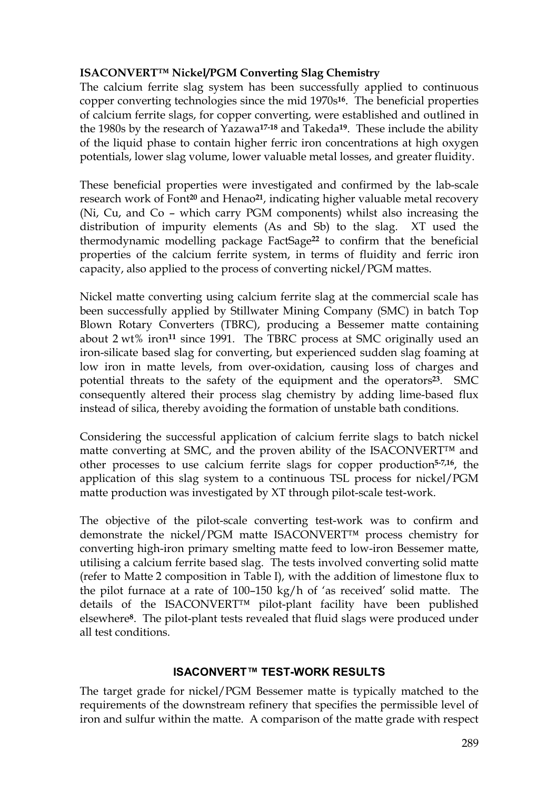## **ISACONVERT™ Nickel/PGM Converting Slag Chemistry**

The calcium ferrite slag system has been successfully applied to continuous copper converting technologies since the mid 1970s**16**. The beneficial properties of calcium ferrite slags, for copper converting, were established and outlined in the 1980s by the research of Yazawa**17-18** and Takeda**19**. These include the ability of the liquid phase to contain higher ferric iron concentrations at high oxygen potentials, lower slag volume, lower valuable metal losses, and greater fluidity.

These beneficial properties were investigated and confirmed by the lab-scale research work of Font**<sup>20</sup>** and Henao**21**, indicating higher valuable metal recovery (Ni, Cu, and Co – which carry PGM components) whilst also increasing the distribution of impurity elements (As and Sb) to the slag. XT used the thermodynamic modelling package FactSage**<sup>22</sup>** to confirm that the beneficial properties of the calcium ferrite system, in terms of fluidity and ferric iron capacity, also applied to the process of converting nickel/PGM mattes.

Nickel matte converting using calcium ferrite slag at the commercial scale has been successfully applied by Stillwater Mining Company (SMC) in batch Top Blown Rotary Converters (TBRC), producing a Bessemer matte containing about 2 wt% iron**<sup>11</sup>** since 1991. The TBRC process at SMC originally used an iron-silicate based slag for converting, but experienced sudden slag foaming at low iron in matte levels, from over-oxidation, causing loss of charges and potential threats to the safety of the equipment and the operators**23**. SMC consequently altered their process slag chemistry by adding lime-based flux instead of silica, thereby avoiding the formation of unstable bath conditions.

Considering the successful application of calcium ferrite slags to batch nickel matte converting at SMC, and the proven ability of the ISACONVERT™ and other processes to use calcium ferrite slags for copper production**5-7,16**, the application of this slag system to a continuous TSL process for nickel/PGM matte production was investigated by XT through pilot-scale test-work.

The objective of the pilot-scale converting test-work was to confirm and demonstrate the nickel/PGM matte ISACONVERT™ process chemistry for converting high-iron primary smelting matte feed to low-iron Bessemer matte, utilising a calcium ferrite based slag. The tests involved converting solid matte (refer to Matte 2 composition in Table I), with the addition of limestone flux to the pilot furnace at a rate of 100–150 kg/h of 'as received' solid matte. The details of the ISACONVERT™ pilot-plant facility have been published elsewhere**8**. The pilot-plant tests revealed that fluid slags were produced under all test conditions.

### **ISACONVERT™ TEST-WORK RESULTS**

The target grade for nickel/PGM Bessemer matte is typically matched to the requirements of the downstream refinery that specifies the permissible level of iron and sulfur within the matte. A comparison of the matte grade with respect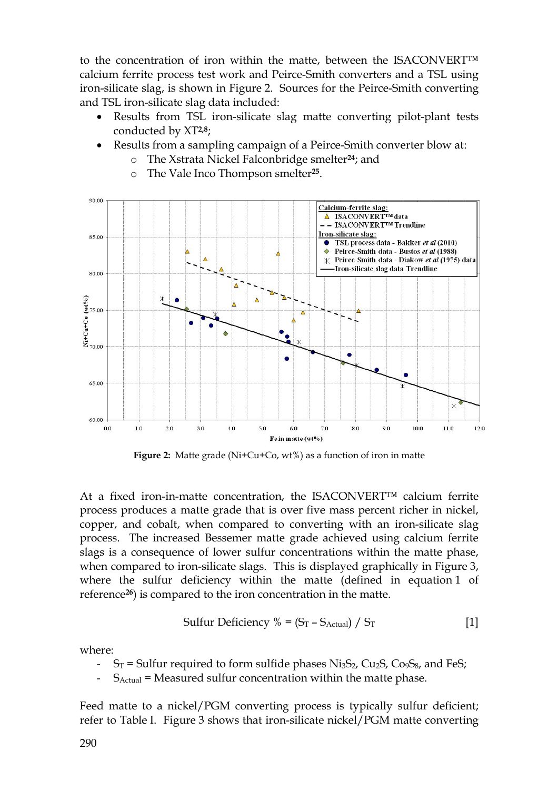to the concentration of iron within the matte, between the ISACONVERT™ calcium ferrite process test work and Peirce-Smith converters and a TSL using iron-silicate slag, is shown in Figure 2. Sources for the Peirce-Smith converting and TSL iron-silicate slag data included:

- Results from TSL iron-silicate slag matte converting pilot-plant tests conducted by XT**2,8**;
- Results from a sampling campaign of a Peirce-Smith converter blow at:
	- The Xstrata Nickel Falconbridge smelter<sup>24</sup>; and
	- o The Vale Inco Thompson smelter**25**.



**Figure 2:** Matte grade (Ni+Cu+Co, wt%) as a function of iron in matte

At a fixed iron-in-matte concentration, the ISACONVERT™ calcium ferrite process produces a matte grade that is over five mass percent richer in nickel, copper, and cobalt, when compared to converting with an iron-silicate slag process. The increased Bessemer matte grade achieved using calcium ferrite slags is a consequence of lower sulfur concentrations within the matte phase, when compared to iron-silicate slags. This is displayed graphically in Figure 3, where the sulfur deficiency within the matte (defined in equation 1 of reference**26**) is compared to the iron concentration in the matte.

Sulfur Deficiency % = 
$$
(S_T - S_{Actual}) / S_T
$$
 [1]

where:

- $S_T$  = Sulfur required to form sulfide phases Ni<sub>3</sub>S<sub>2</sub>, Cu<sub>2</sub>S, Co<sub>9</sub>S<sub>8</sub>, and FeS;
- $S_{Actual}$  = Measured sulfur concentration within the matte phase.

Feed matte to a nickel/PGM converting process is typically sulfur deficient; refer to Table I. Figure 3 shows that iron-silicate nickel/PGM matte converting

290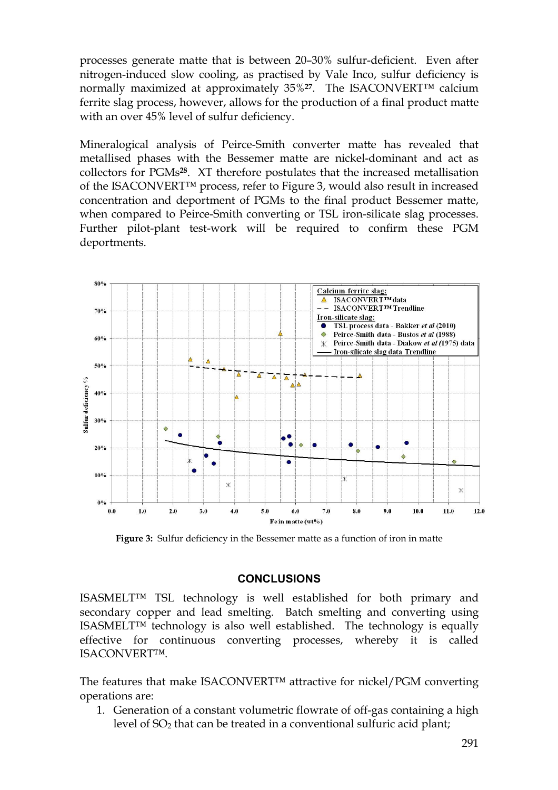processes generate matte that is between 20–30% sulfur-deficient. Even after nitrogen-induced slow cooling, as practised by Vale Inco, sulfur deficiency is normally maximized at approximately 35%**27**. The ISACONVERT™ calcium ferrite slag process, however, allows for the production of a final product matte with an over 45% level of sulfur deficiency.

Mineralogical analysis of Peirce-Smith converter matte has revealed that metallised phases with the Bessemer matte are nickel-dominant and act as collectors for PGMs**28**. XT therefore postulates that the increased metallisation of the ISACONVERT™ process, refer to Figure 3, would also result in increased concentration and deportment of PGMs to the final product Bessemer matte, when compared to Peirce-Smith converting or TSL iron-silicate slag processes. Further pilot-plant test-work will be required to confirm these PGM deportments.



**Figure 3:** Sulfur deficiency in the Bessemer matte as a function of iron in matte

### **CONCLUSIONS**

ISASMELT™ TSL technology is well established for both primary and secondary copper and lead smelting. Batch smelting and converting using ISASMELT™ technology is also well established. The technology is equally effective for continuous converting processes, whereby it is called ISACONVERT™.

The features that make ISACONVERT™ attractive for nickel/PGM converting operations are:

1. Generation of a constant volumetric flowrate of off-gas containing a high level of SO<sup>2</sup> that can be treated in a conventional sulfuric acid plant;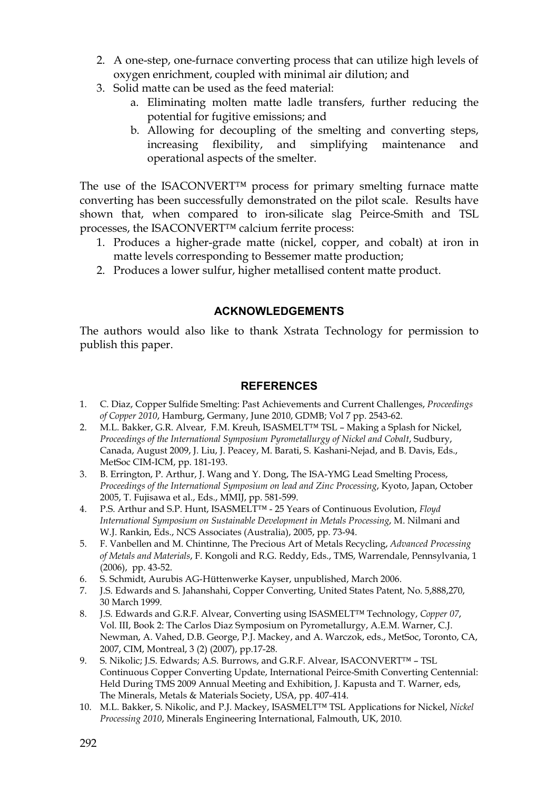- 2. A one-step, one-furnace converting process that can utilize high levels of oxygen enrichment, coupled with minimal air dilution; and
- 3. Solid matte can be used as the feed material:
	- a. Eliminating molten matte ladle transfers, further reducing the potential for fugitive emissions; and
	- b. Allowing for decoupling of the smelting and converting steps, increasing flexibility, and simplifying maintenance and operational aspects of the smelter.

The use of the ISACONVERT™ process for primary smelting furnace matte converting has been successfully demonstrated on the pilot scale. Results have shown that, when compared to iron-silicate slag Peirce-Smith and TSL processes, the ISACONVERT™ calcium ferrite process:

- 1. Produces a higher-grade matte (nickel, copper, and cobalt) at iron in matte levels corresponding to Bessemer matte production;
- 2. Produces a lower sulfur, higher metallised content matte product.

### **ACKNOWLEDGEMENTS**

The authors would also like to thank Xstrata Technology for permission to publish this paper.

## **REFERENCES**

- 1. C. Diaz, Copper Sulfide Smelting: Past Achievements and Current Challenges, *Proceedings of Copper 2010*, Hamburg, Germany, June 2010, GDMB; Vol 7 pp. 2543-62.
- 2. M.L. Bakker, G.R. Alvear, F.M. Kreuh, ISASMELT™ TSL Making a Splash for Nickel, *Proceedings of the International Symposium Pyrometallurgy of Nickel and Cobalt*, Sudbury, Canada, August 2009, J. Liu, J. Peacey, M. Barati, S. Kashani-Nejad, and B. Davis, Eds., MetSoc CIM-ICM, pp. 181-193.
- 3. B. Errington, P. Arthur, J. Wang and Y. Dong, The ISA-YMG Lead Smelting Process, *Proceedings of the International Symposium on lead and Zinc Processing*, Kyoto, Japan, October 2005, T. Fujisawa et al., Eds., MMIJ, pp. 581-599.
- 4. P.S. Arthur and S.P. Hunt, ISASMELT™ 25 Years of Continuous Evolution, *Floyd International Symposium on Sustainable Development in Metals Processing*, M. Nilmani and W.J. Rankin, Eds., NCS Associates (Australia), 2005, pp. 73-94.
- 5. F. Vanbellen and M. Chintinne, The Precious Art of Metals Recycling, *Advanced Processing of Metals and Materials*, F. Kongoli and R.G. Reddy, Eds., TMS, Warrendale, Pennsylvania, 1 (2006), pp. 43-52.
- 6. S. Schmidt, Aurubis AG-Hüttenwerke Kayser, unpublished, March 2006.
- 7. J.S. Edwards and S. Jahanshahi, Copper Converting, United States Patent, No. 5,888,270, 30 March 1999.
- 8. J.S. Edwards and G.R.F. Alvear, Converting using ISASMELT™ Technology, *Copper 07*, Vol. III, Book 2: The Carlos Diaz Symposium on Pyrometallurgy, A.E.M. Warner, C.J. Newman, A. Vahed, D.B. George, P.J. Mackey, and A. Warczok, eds., MetSoc, Toronto, CA, 2007, CIM, Montreal, 3 (2) (2007), pp.17-28.
- 9. S. Nikolic; J.S. Edwards; A.S. Burrows, and G.R.F. Alvear, ISACONVERT™ TSL Continuous Copper Converting Update, International Peirce-Smith Converting Centennial: Held During TMS 2009 Annual Meeting and Exhibition, J. Kapusta and T. Warner, eds, The Minerals, Metals & Materials Society, USA, pp. 407-414.
- 10. M.L. Bakker, S. Nikolic, and P.J. Mackey, ISASMELT™ TSL Applications for Nickel, *Nickel Processing 2010*, Minerals Engineering International, Falmouth, UK, 2010.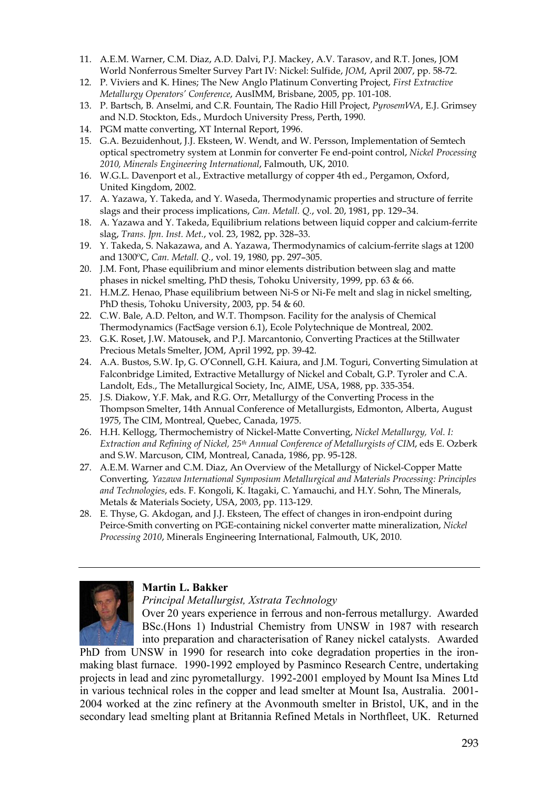- 11. A.E.M. Warner, C.M. Diaz, A.D. Dalvi, P.J. Mackey, A.V. Tarasov, and R.T. Jones, JOM World Nonferrous Smelter Survey Part IV: Nickel: Sulfide, *JOM*, April 2007, pp. 58-72.
- 12. P. Viviers and K. Hines; The New Anglo Platinum Converting Project, *First Extractive Metallurgy Operators' Conference*, AusIMM, Brisbane, 2005, pp. 101-108.
- 13. P. Bartsch, B. Anselmi, and C.R. Fountain, The Radio Hill Project, *PyrosemWA*, E.J. Grimsey and N.D. Stockton, Eds., Murdoch University Press, Perth, 1990.
- 14. PGM matte converting, XT Internal Report, 1996.
- 15. G.A. Bezuidenhout, J.J. Eksteen, W. Wendt, and W. Persson, Implementation of Semtech optical spectrometry system at Lonmin for converter Fe end-point control, *Nickel Processing 2010, Minerals Engineering International*, Falmouth, UK, 2010.
- 16. W.G.L. Davenport et al., Extractive metallurgy of copper 4th ed., Pergamon, Oxford, United Kingdom, 2002.
- 17. A. Yazawa, Y. Takeda, and Y. Waseda, Thermodynamic properties and structure of ferrite slags and their process implications, *Can. Metall. Q.*, vol. 20, 1981, pp. 129–34.
- 18. A. Yazawa and Y. Takeda, Equilibrium relations between liquid copper and calcium-ferrite slag, *Trans. Jpn. Inst. Met.*, vol. 23, 1982, pp. 328–33.
- 19. Y. Takeda, S. Nakazawa, and A. Yazawa, Thermodynamics of calcium-ferrite slags at 1200 and 1300ºC, *Can. Metall. Q.*, vol. 19, 1980, pp. 297–305.
- 20. J.M. Font, Phase equilibrium and minor elements distribution between slag and matte phases in nickel smelting, PhD thesis, Tohoku University, 1999, pp. 63 & 66.
- 21. H.M.Z. Henao, Phase equilibrium between Ni-S or Ni-Fe melt and slag in nickel smelting, PhD thesis, Tohoku University, 2003, pp. 54 & 60.
- 22. C.W. Bale, A.D. Pelton, and W.T. Thompson. Facility for the analysis of Chemical Thermodynamics (FactSage version 6.1), Ecole Polytechnique de Montreal, 2002.
- 23. G.K. Roset, J.W. Matousek, and P.J. Marcantonio, Converting Practices at the Stillwater Precious Metals Smelter, JOM, April 1992, pp. 39-42.
- 24. A.A. Bustos, S.W. Ip, G. O'Connell, G.H. Kaiura, and J.M. Toguri, Converting Simulation at Falconbridge Limited, Extractive Metallurgy of Nickel and Cobalt, G.P. Tyroler and C.A. Landolt, Eds., The Metallurgical Society, Inc, AIME, USA, 1988, pp. 335-354.
- 25. J.S. Diakow, Y.F. Mak, and R.G. Orr, Metallurgy of the Converting Process in the Thompson Smelter, 14th Annual Conference of Metallurgists, Edmonton, Alberta, August 1975, The CIM, Montreal, Quebec, Canada, 1975.
- 26. H.H. Kellogg, Thermochemistry of Nickel-Matte Converting, *Nickel Metallurgy, Vol. I: Extraction and Refining of Nickel, 25th Annual Conference of Metallurgists of CIM*, eds E. Ozberk and S.W. Marcuson, CIM, Montreal, Canada, 1986, pp. 95-128.
- 27. A.E.M. Warner and C.M. Diaz, An Overview of the Metallurgy of Nickel-Copper Matte Converting*, Yazawa International Symposium Metallurgical and Materials Processing: Principles and Technologies*, eds. F. Kongoli, K. Itagaki, C. Yamauchi, and H.Y. Sohn, The Minerals, Metals & Materials Society, USA, 2003, pp. 113-129.
- 28. E. Thyse, G. Akdogan, and J.J. Eksteen, The effect of changes in iron-endpoint during Peirce-Smith converting on PGE-containing nickel converter matte mineralization, *Nickel Processing 2010*, Minerals Engineering International, Falmouth, UK, 2010.



### **Martin L. Bakker**

*Principal Metallurgist, Xstrata Technology* 

Over 20 years experience in ferrous and non-ferrous metallurgy. Awarded BSc.(Hons 1) Industrial Chemistry from UNSW in 1987 with research into preparation and characterisation of Raney nickel catalysts. Awarded

PhD from UNSW in 1990 for research into coke degradation properties in the ironmaking blast furnace. 1990-1992 employed by Pasminco Research Centre, undertaking projects in lead and zinc pyrometallurgy. 1992-2001 employed by Mount Isa Mines Ltd in various technical roles in the copper and lead smelter at Mount Isa, Australia. 2001- 2004 worked at the zinc refinery at the Avonmouth smelter in Bristol, UK, and in the secondary lead smelting plant at Britannia Refined Metals in Northfleet, UK. Returned